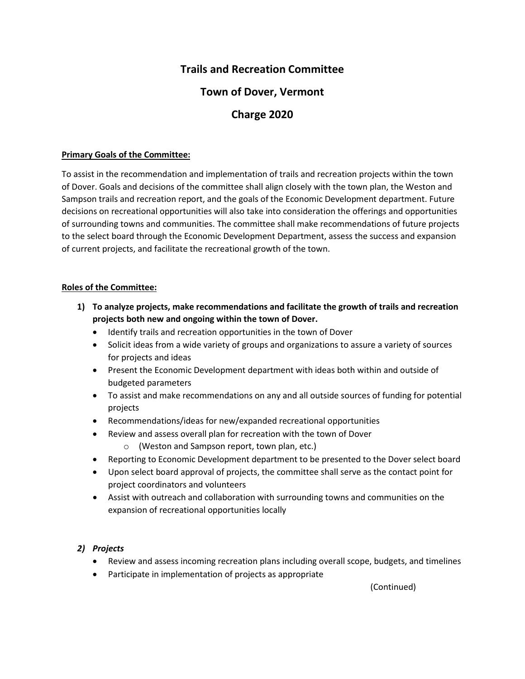# **Trails and Recreation Committee**

## **Town of Dover, Vermont**

# **Charge 2020**

### **Primary Goals of the Committee:**

To assist in the recommendation and implementation of trails and recreation projects within the town of Dover. Goals and decisions of the committee shall align closely with the town plan, the Weston and Sampson trails and recreation report, and the goals of the Economic Development department. Future decisions on recreational opportunities will also take into consideration the offerings and opportunities of surrounding towns and communities. The committee shall make recommendations of future projects to the select board through the Economic Development Department, assess the success and expansion of current projects, and facilitate the recreational growth of the town.

### **Roles of the Committee:**

- **1) To analyze projects, make recommendations and facilitate the growth of trails and recreation projects both new and ongoing within the town of Dover.**
	- Identify trails and recreation opportunities in the town of Dover
	- Solicit ideas from a wide variety of groups and organizations to assure a variety of sources for projects and ideas
	- Present the Economic Development department with ideas both within and outside of budgeted parameters
	- To assist and make recommendations on any and all outside sources of funding for potential projects
	- Recommendations/ideas for new/expanded recreational opportunities
	- Review and assess overall plan for recreation with the town of Dover
		- o (Weston and Sampson report, town plan, etc.)
	- Reporting to Economic Development department to be presented to the Dover select board
	- Upon select board approval of projects, the committee shall serve as the contact point for project coordinators and volunteers
	- Assist with outreach and collaboration with surrounding towns and communities on the expansion of recreational opportunities locally

## *2) Projects*

- Review and assess incoming recreation plans including overall scope, budgets, and timelines
- Participate in implementation of projects as appropriate

(Continued)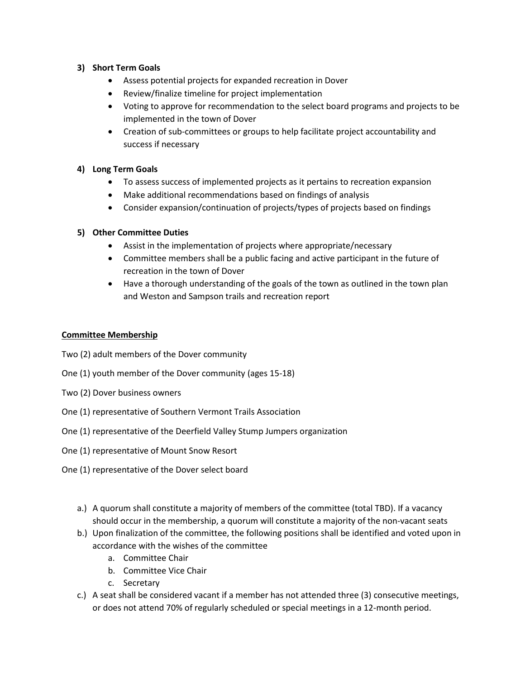## **3) Short Term Goals**

- Assess potential projects for expanded recreation in Dover
- Review/finalize timeline for project implementation
- Voting to approve for recommendation to the select board programs and projects to be implemented in the town of Dover
- Creation of sub-committees or groups to help facilitate project accountability and success if necessary

## **4) Long Term Goals**

- To assess success of implemented projects as it pertains to recreation expansion
- Make additional recommendations based on findings of analysis
- Consider expansion/continuation of projects/types of projects based on findings

### **5) Other Committee Duties**

- Assist in the implementation of projects where appropriate/necessary
- Committee members shall be a public facing and active participant in the future of recreation in the town of Dover
- Have a thorough understanding of the goals of the town as outlined in the town plan and Weston and Sampson trails and recreation report

### **Committee Membership**

- Two (2) adult members of the Dover community
- One (1) youth member of the Dover community (ages 15-18)
- Two (2) Dover business owners
- One (1) representative of Southern Vermont Trails Association
- One (1) representative of the Deerfield Valley Stump Jumpers organization
- One (1) representative of Mount Snow Resort
- One (1) representative of the Dover select board
	- a.) A quorum shall constitute a majority of members of the committee (total TBD). If a vacancy should occur in the membership, a quorum will constitute a majority of the non-vacant seats
	- b.) Upon finalization of the committee, the following positions shall be identified and voted upon in accordance with the wishes of the committee
		- a. Committee Chair
		- b. Committee Vice Chair
		- c. Secretary
	- c.) A seat shall be considered vacant if a member has not attended three (3) consecutive meetings, or does not attend 70% of regularly scheduled or special meetings in a 12-month period.